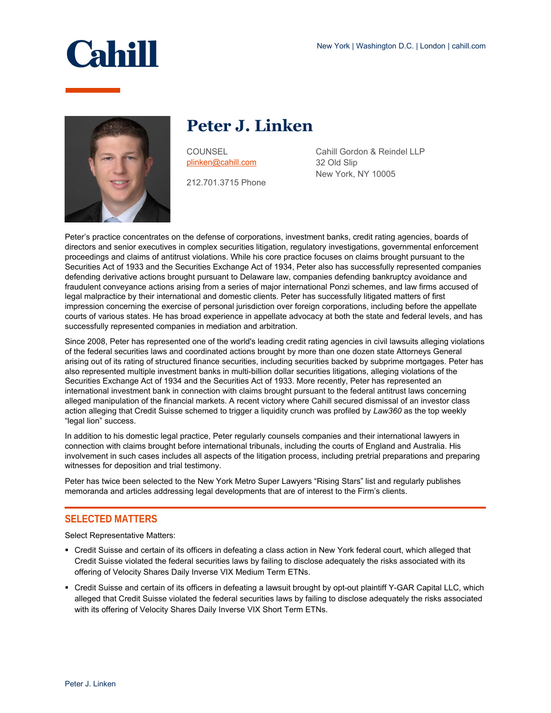

# **Peter J. Linken**

**COUNSEL** [plinken@cahill.com](mailto:plinken@cahill.com)

212.701.3715 Phone

Cahill Gordon & Reindel LLP 32 Old Slip New York, NY 10005

Peter's practice concentrates on the defense of corporations, investment banks, credit rating agencies, boards of directors and senior executives in complex securities litigation, regulatory investigations, governmental enforcement proceedings and claims of antitrust violations. While his core practice focuses on claims brought pursuant to the Securities Act of 1933 and the Securities Exchange Act of 1934, Peter also has successfully represented companies defending derivative actions brought pursuant to Delaware law, companies defending bankruptcy avoidance and fraudulent conveyance actions arising from a series of major international Ponzi schemes, and law firms accused of legal malpractice by their international and domestic clients. Peter has successfully litigated matters of first impression concerning the exercise of personal jurisdiction over foreign corporations, including before the appellate courts of various states. He has broad experience in appellate advocacy at both the state and federal levels, and has successfully represented companies in mediation and arbitration.

Since 2008, Peter has represented one of the world's leading credit rating agencies in civil lawsuits alleging violations of the federal securities laws and coordinated actions brought by more than one dozen state Attorneys General arising out of its rating of structured finance securities, including securities backed by subprime mortgages. Peter has also represented multiple investment banks in multi-billion dollar securities litigations, alleging violations of the Securities Exchange Act of 1934 and the Securities Act of 1933. More recently, Peter has represented an international investment bank in connection with claims brought pursuant to the federal antitrust laws concerning alleged manipulation of the financial markets. A recent victory where Cahill secured dismissal of an investor class action alleging that Credit Suisse schemed to trigger a liquidity crunch was profiled by *Law360* as the top weekly "legal lion" success.

In addition to his domestic legal practice, Peter regularly counsels companies and their international lawyers in connection with claims brought before international tribunals, including the courts of England and Australia. His involvement in such cases includes all aspects of the litigation process, including pretrial preparations and preparing witnesses for deposition and trial testimony.

Peter has twice been selected to the New York Metro Super Lawyers "Rising Stars" list and regularly publishes memoranda and articles addressing legal developments that are of interest to the Firm's clients.

## **SELECTED MATTERS**

Select Representative Matters:

- Credit Suisse and certain of its officers in defeating a class action in New York federal court, which alleged that Credit Suisse violated the federal securities laws by failing to disclose adequately the risks associated with its offering of Velocity Shares Daily Inverse VIX Medium Term ETNs.
- Credit Suisse and certain of its officers in defeating a lawsuit brought by opt-out plaintiff Y-GAR Capital LLC, which alleged that Credit Suisse violated the federal securities laws by failing to disclose adequately the risks associated with its offering of Velocity Shares Daily Inverse VIX Short Term ETNs.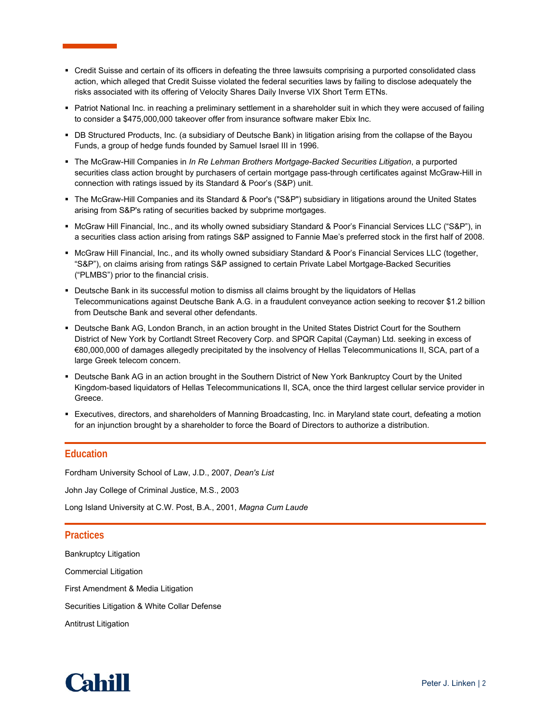- Credit Suisse and certain of its officers in defeating the three lawsuits comprising a purported consolidated class action, which alleged that Credit Suisse violated the federal securities laws by failing to disclose adequately the risks associated with its offering of Velocity Shares Daily Inverse VIX Short Term ETNs.
- Patriot National Inc. in reaching a preliminary settlement in a shareholder suit in which they were accused of failing to consider a \$475,000,000 takeover offer from insurance software maker Ebix Inc.
- DB Structured Products, Inc. (a subsidiary of Deutsche Bank) in litigation arising from the collapse of the Bayou Funds, a group of hedge funds founded by Samuel Israel III in 1996.
- The McGraw-Hill Companies in *In Re Lehman Brothers Mortgage-Backed Securities Litigation*, a purported securities class action brought by purchasers of certain mortgage pass-through certificates against McGraw-Hill in connection with ratings issued by its Standard & Poor's (S&P) unit.
- The McGraw-Hill Companies and its Standard & Poor's ("S&P") subsidiary in litigations around the United States arising from S&P's rating of securities backed by subprime mortgages.
- McGraw Hill Financial, Inc., and its wholly owned subsidiary Standard & Poor's Financial Services LLC ("S&P"), in a securities class action arising from ratings S&P assigned to Fannie Mae's preferred stock in the first half of 2008.
- **McGraw Hill Financial, Inc., and its wholly owned subsidiary Standard & Poor's Financial Services LLC (together,** "S&P"), on claims arising from ratings S&P assigned to certain Private Label Mortgage-Backed Securities ("PLMBS") prior to the financial crisis.
- Deutsche Bank in its successful motion to dismiss all claims brought by the liquidators of Hellas Telecommunications against Deutsche Bank A.G. in a fraudulent conveyance action seeking to recover \$1.2 billion from Deutsche Bank and several other defendants.
- Deutsche Bank AG, London Branch, in an action brought in the United States District Court for the Southern District of New York by Cortlandt Street Recovery Corp. and SPQR Capital (Cayman) Ltd. seeking in excess of €80,000,000 of damages allegedly precipitated by the insolvency of Hellas Telecommunications II, SCA, part of a large Greek telecom concern.
- Deutsche Bank AG in an action brought in the Southern District of New York Bankruptcy Court by the United Kingdom-based liquidators of Hellas Telecommunications II, SCA, once the third largest cellular service provider in Greece.
- Executives, directors, and shareholders of Manning Broadcasting, Inc. in Maryland state court, defeating a motion for an injunction brought by a shareholder to force the Board of Directors to authorize a distribution.

## **Education**

Fordham University School of Law, J.D., 2007, *Dean's List*

John Jay College of Criminal Justice, M.S., 2003

Long Island University at C.W. Post, B.A., 2001, *Magna Cum Laude*

### **Practices**

Bankruptcy Litigation Commercial Litigation First Amendment & Media Litigation Securities Litigation & White Collar Defense Antitrust Litigation